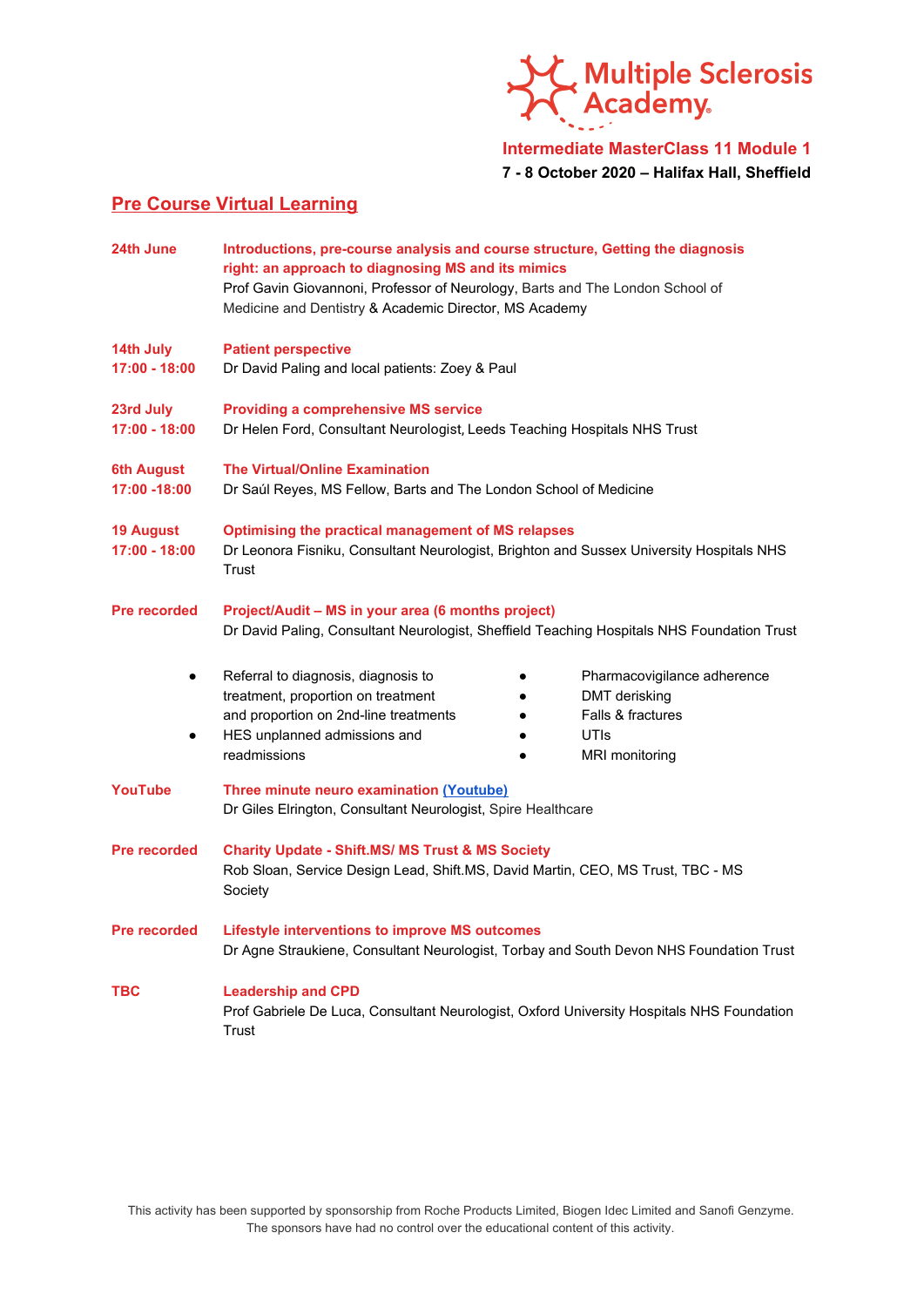

**Intermediate MasterClass 11 Module 1**

**7 - 8 October 2020 – Halifax Hall, Sheffield**

## **Pre Course Virtual Learning**

| 24th June                           | Introductions, pre-course analysis and course structure, Getting the diagnosis<br>right: an approach to diagnosing MS and its mimics<br>Prof Gavin Giovannoni, Professor of Neurology, Barts and The London School of<br>Medicine and Dentistry & Academic Director, MS Academy |                                                                                             |
|-------------------------------------|---------------------------------------------------------------------------------------------------------------------------------------------------------------------------------------------------------------------------------------------------------------------------------|---------------------------------------------------------------------------------------------|
| 14th July<br>$17:00 - 18:00$        | <b>Patient perspective</b><br>Dr David Paling and local patients: Zoey & Paul                                                                                                                                                                                                   |                                                                                             |
| 23rd July<br>$17:00 - 18:00$        | <b>Providing a comprehensive MS service</b><br>Dr Helen Ford, Consultant Neurologist, Leeds Teaching Hospitals NHS Trust                                                                                                                                                        |                                                                                             |
| <b>6th August</b><br>17:00 -18:00   | <b>The Virtual/Online Examination</b><br>Dr Saúl Reyes, MS Fellow, Barts and The London School of Medicine                                                                                                                                                                      |                                                                                             |
| <b>19 August</b><br>$17:00 - 18:00$ | <b>Optimising the practical management of MS relapses</b><br>Dr Leonora Fisniku, Consultant Neurologist, Brighton and Sussex University Hospitals NHS<br>Trust                                                                                                                  |                                                                                             |
| <b>Pre recorded</b>                 | Project/Audit - MS in your area (6 months project)<br>Dr David Paling, Consultant Neurologist, Sheffield Teaching Hospitals NHS Foundation Trust                                                                                                                                |                                                                                             |
|                                     | Referral to diagnosis, diagnosis to<br>treatment, proportion on treatment<br>and proportion on 2nd-line treatments<br>HES unplanned admissions and<br>readmissions                                                                                                              | Pharmacovigilance adherence<br>DMT derisking<br>Falls & fractures<br>UTIS<br>MRI monitoring |
| <b>YouTube</b>                      | Three minute neuro examination (Youtube)<br>Dr Giles Elrington, Consultant Neurologist, Spire Healthcare                                                                                                                                                                        |                                                                                             |
| <b>Pre recorded</b>                 | <b>Charity Update - Shift.MS/ MS Trust &amp; MS Society</b><br>Rob Sloan, Service Design Lead, Shift.MS, David Martin, CEO, MS Trust, TBC - MS<br>Society                                                                                                                       |                                                                                             |
| <b>Pre recorded</b>                 | <b>Lifestyle interventions to improve MS outcomes</b><br>Dr Agne Straukiene, Consultant Neurologist, Torbay and South Devon NHS Foundation Trust                                                                                                                                |                                                                                             |
| <b>TBC</b>                          | <b>Leadership and CPD</b><br>Prof Gabriele De Luca, Consultant Neurologist, Oxford University Hospitals NHS Foundation<br>Trust                                                                                                                                                 |                                                                                             |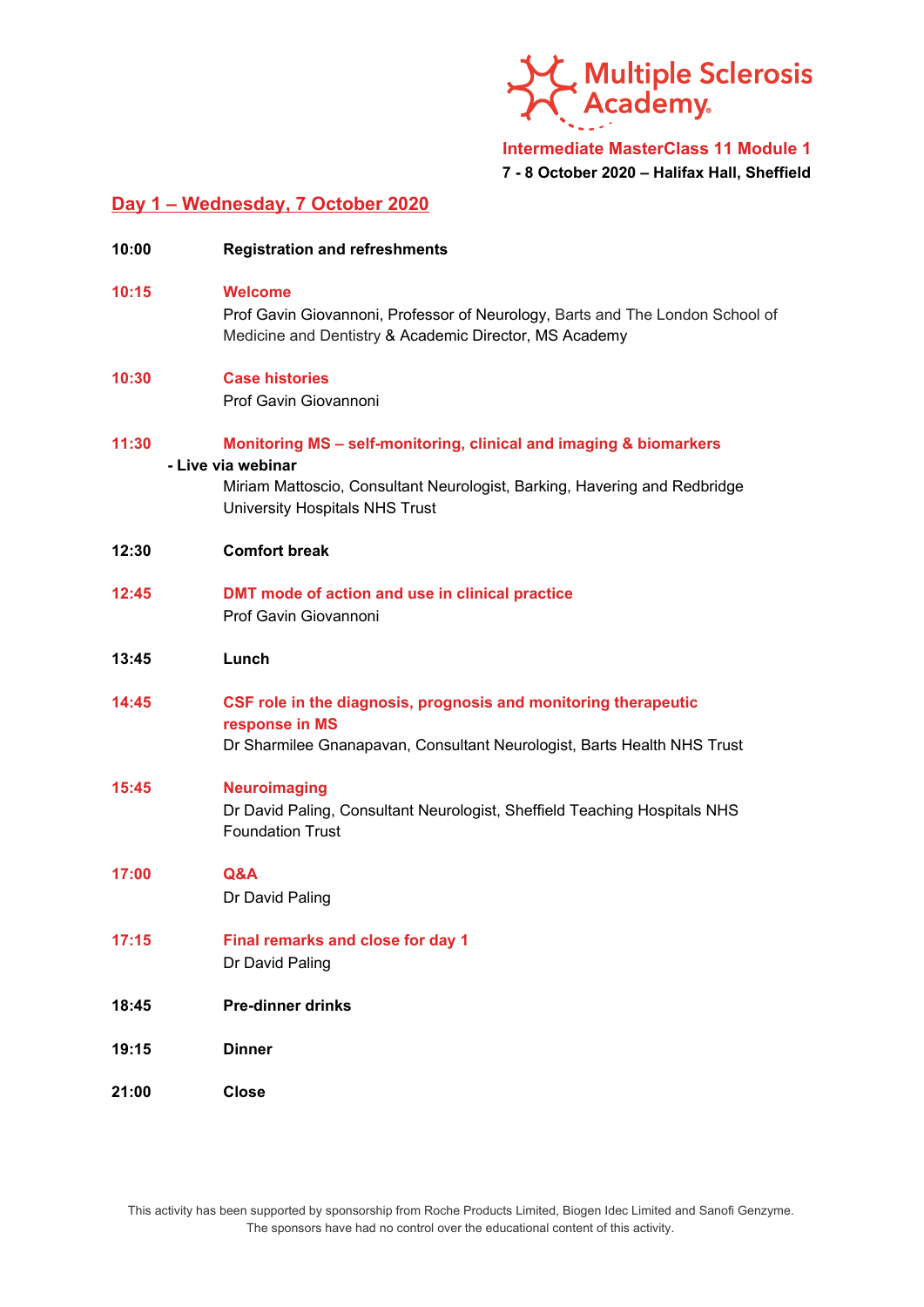

### **Intermediate MasterClass 11 Module 1 7 - 8 October 2020 – Halifax Hall, Sheffield**

# **Day 1 – Wednesday, 7 October 2020**

| 10:00 | <b>Registration and refreshments</b>                                                                                                                                                                    |
|-------|---------------------------------------------------------------------------------------------------------------------------------------------------------------------------------------------------------|
| 10:15 | <b>Welcome</b><br>Prof Gavin Giovannoni, Professor of Neurology, Barts and The London School of<br>Medicine and Dentistry & Academic Director, MS Academy                                               |
| 10:30 | <b>Case histories</b><br>Prof Gavin Giovannoni                                                                                                                                                          |
| 11:30 | Monitoring MS - self-monitoring, clinical and imaging & biomarkers<br>- Live via webinar<br>Miriam Mattoscio, Consultant Neurologist, Barking, Havering and Redbridge<br>University Hospitals NHS Trust |
| 12:30 | <b>Comfort break</b>                                                                                                                                                                                    |
| 12:45 | DMT mode of action and use in clinical practice<br>Prof Gavin Giovannoni                                                                                                                                |
| 13:45 | Lunch                                                                                                                                                                                                   |
| 14:45 | CSF role in the diagnosis, prognosis and monitoring therapeutic<br>response in MS<br>Dr Sharmilee Gnanapavan, Consultant Neurologist, Barts Health NHS Trust                                            |
| 15:45 | <b>Neuroimaging</b><br>Dr David Paling, Consultant Neurologist, Sheffield Teaching Hospitals NHS<br><b>Foundation Trust</b>                                                                             |
| 17:00 | Q&A<br>Dr David Paling                                                                                                                                                                                  |
| 17:15 | Final remarks and close for day 1<br>Dr David Paling                                                                                                                                                    |
| 18:45 | <b>Pre-dinner drinks</b>                                                                                                                                                                                |
| 19:15 | <b>Dinner</b>                                                                                                                                                                                           |
| 21:00 | <b>Close</b>                                                                                                                                                                                            |